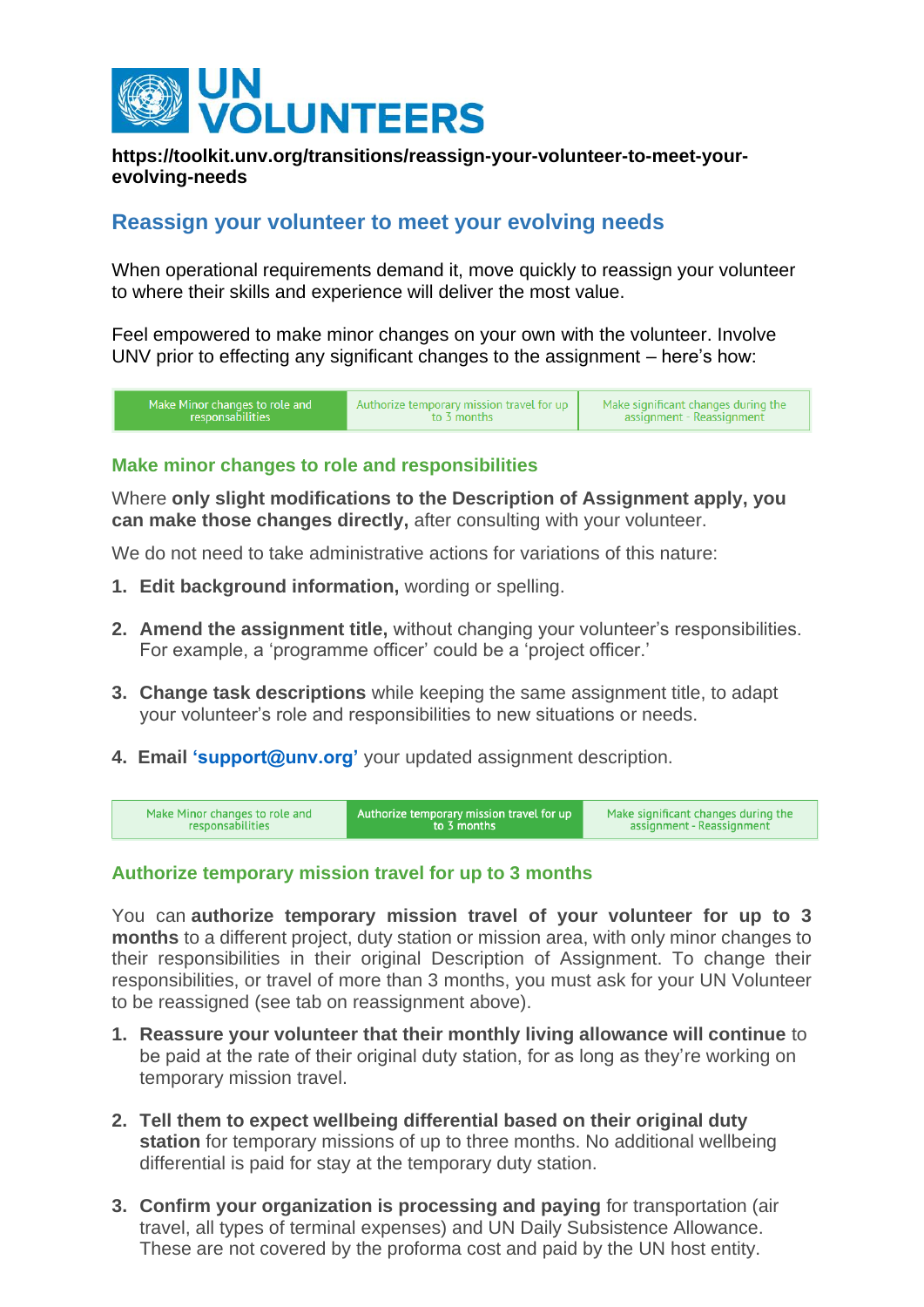

### **https://toolkit.unv.org/transitions/reassign-your-volunteer-to-meet-yourevolving-needs**

# **Reassign your volunteer to meet your evolving needs**

When operational requirements demand it, move quickly to reassign your volunteer to where their skills and experience will deliver the most value.

Feel empowered to make minor changes on your own with the volunteer. Involve UNV prior to effecting any significant changes to the assignment – here's how:



### **Make minor changes to role and responsibilities**

Where **only slight modifications to the Description of Assignment apply, you can make those changes directly,** after consulting with your volunteer.

We do not need to take administrative actions for variations of this nature:

- **1. Edit background information,** wording or spelling.
- **2. Amend the assignment title,** without changing your volunteer's responsibilities. For example, a 'programme officer' could be a 'project officer.'
- **3. Change task descriptions** while keeping the same assignment title, to adapt your volunteer's role and responsibilities to new situations or needs.
- **4. Email ['support@unv.org'](http://support@unv.org)** [y](mailto:support@unv.org)our updated assignment description.

| Make Minor changes to role and | Authorize temporary mission travel for up | Make significant changes during the |
|--------------------------------|-------------------------------------------|-------------------------------------|
| responsabilities               | to 3 months                               | assignment - Reassignment           |

#### **Authorize temporary mission travel for up to 3 months**

You can **authorize temporary mission travel of your volunteer for up to 3 months** to a different project, duty station or mission area, with only minor changes to their responsibilities in their original Description of Assignment. To change their responsibilities, or travel of more than 3 months, you must ask for your UN Volunteer to be reassigned (see tab on reassignment above).

- **1. Reassure your volunteer that their monthly living allowance will continue** to be paid at the rate of their original duty station, for as long as they're working on temporary mission travel.
- **2. Tell them to expect wellbeing differential based on their original duty station** for temporary missions of up to three months. No additional wellbeing differential is paid for stay at the temporary duty station.
- **3. Confirm your organization is processing and paying** for transportation (air travel, all types of terminal expenses) and UN Daily Subsistence Allowance. These are not covered by the proforma cost and paid by the UN host entity.